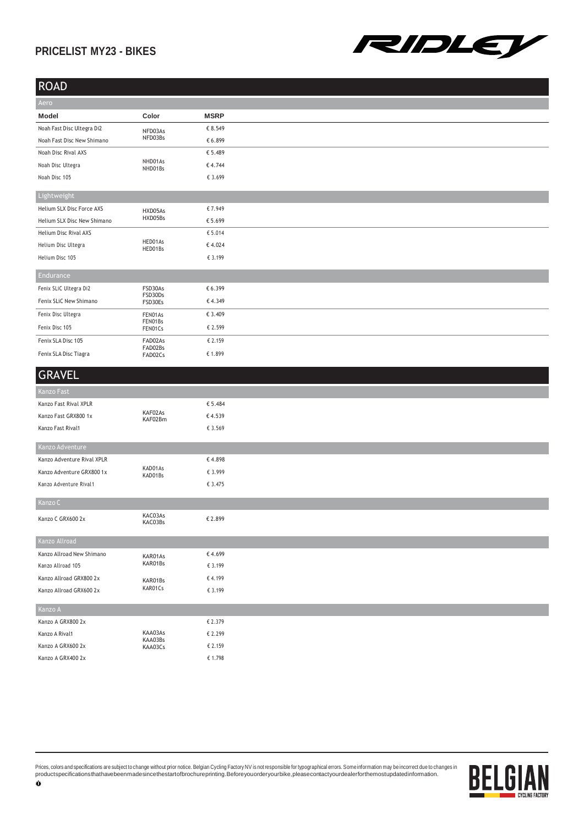## **PRICELIST MY23 - BIKES**



| <b>ROAD</b>                 |                    |             |  |  |  |
|-----------------------------|--------------------|-------------|--|--|--|
| Aero                        |                    |             |  |  |  |
| Model                       | Color              | <b>MSRP</b> |  |  |  |
| Noah Fast Disc Ultegra Di2  | NFD03As            | € 8.549     |  |  |  |
| Noah Fast Disc New Shimano  | NFD03Bs            | €6.899      |  |  |  |
| Noah Disc Rival AXS         |                    | € 5.489     |  |  |  |
| Noah Disc Ultegra           | NHD01As<br>NHD01Bs | €4.744      |  |  |  |
| Noah Disc 105               |                    | € 3.699     |  |  |  |
| Lightweight                 |                    |             |  |  |  |
| Helium SLX Disc Force AXS   | HXD05As            | €7.949      |  |  |  |
| Helium SLX Disc New Shimano | HXD05Bs            | € 5.699     |  |  |  |
| Helium Disc Rival AXS       |                    | € 5.014     |  |  |  |
| Helium Disc Ultegra         | HED01As<br>HED01Bs | €4.024      |  |  |  |
| Helium Disc 105             |                    | € 3.199     |  |  |  |
| Endurance                   |                    |             |  |  |  |
| Fenix SLiC Ultegra Di2      | FSD30As            | €6.399      |  |  |  |
| Fenix SLiC New Shimano      | FSD30Ds<br>FSD30Es | €4.349      |  |  |  |
| Fenix Disc Ultegra          | FEN01As            | € 3.409     |  |  |  |
| Fenix Disc 105              | FEN01Bs<br>FEN01Cs | € 2.599     |  |  |  |
| Fenix SLA Disc 105          | FAD02As            | € 2.159     |  |  |  |
| Fenix SLA Disc Tiagra       | FAD02Bs<br>FAD02Cs | € 1.899     |  |  |  |
| <b>GRAVEL</b>               |                    |             |  |  |  |
|                             |                    |             |  |  |  |
| Kanzo Fast                  |                    |             |  |  |  |
| Kanzo Fast Rival XPLR       | KAF02As            | € 5.484     |  |  |  |
| Kanzo Fast GRX800 1x        | KAF02Bm            | €4.539      |  |  |  |
| Kanzo Fast Rival1           |                    | € 3.569     |  |  |  |
| Kanzo Adventure             |                    |             |  |  |  |
| Kanzo Adventure Rival XPLR  |                    | €4.898      |  |  |  |
| Kanzo Adventure GRX8001x    | KAD01As<br>KAD01Bs | € 3.999     |  |  |  |
| Kanzo Adventure Rival1      |                    | € 3.475     |  |  |  |
| Kanzo C                     |                    |             |  |  |  |
| Kanzo C GRX600 2x           | KAC03As<br>KAC03Bs | €2.899      |  |  |  |
| Kanzo Allroad               |                    |             |  |  |  |
| Kanzo Allroad New Shimano   | KAR01As            | €4.699      |  |  |  |
| Kanzo Allroad 105           | KAR01Bs            | € 3.199     |  |  |  |
| Kanzo Allroad GRX800 2x     | KAR01Bs            | € 4.199     |  |  |  |
| Kanzo Allroad GRX600 2x     | KAR01Cs            | € 3.199     |  |  |  |
| Kanzo A                     |                    |             |  |  |  |
| Kanzo A GRX800 2x           |                    | € 2.379     |  |  |  |
| Kanzo A Rival1              | KAA03As            | € 2.299     |  |  |  |
| Kanzo A GRX600 2x           | KAA03Bs<br>KAA03Cs | € 2.159     |  |  |  |
| Kanzo A GRX400 2x           |                    | € 1.798     |  |  |  |

Prices, colors and specifications are subject to change without prior notice. Belgian Cycling Factory NV is not responsible for typographical errors. Some information may be incorrect due to changes in productspecificationsthathavebeenmadesincethestartofbrochureprinting.Beforeyouorderyourbike,pleasecontactyourdealerforthemostupdatedinformation.

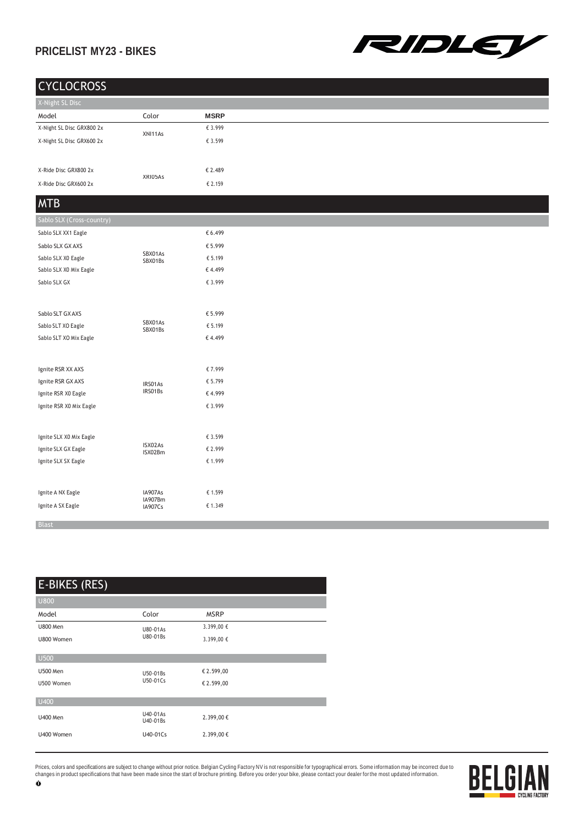## **PRICELIST MY23 - BIKES**



## **CYCLOCROSS**

| X-Night SL Disc           |                    |             |  |  |
|---------------------------|--------------------|-------------|--|--|
| Model                     | Color              | <b>MSRP</b> |  |  |
| X-Night SL Disc GRX800 2x | XNI11As            | € 3.999     |  |  |
| X-Night SL Disc GRX600 2x |                    | € 3.599     |  |  |
|                           |                    |             |  |  |
| X-Ride Disc GRX800 2x     |                    | € 2.489     |  |  |
| X-Ride Disc GRX600 2x     | XRI05As            | € 2.159     |  |  |
|                           |                    |             |  |  |
| <b>MTB</b>                |                    |             |  |  |
| Sablo SLX (Cross-country) |                    |             |  |  |
| Sablo SLX XX1 Eagle       |                    | € 6.499     |  |  |
| Sablo SLX GX AXS          |                    | € 5.999     |  |  |
| Sablo SLX X0 Eagle        | SBX01As<br>SBX01Bs | € 5.199     |  |  |
| Sablo SLX X0 Mix Eagle    |                    | €4.499      |  |  |
| Sablo SLX GX              |                    | € 3.999     |  |  |
|                           |                    |             |  |  |
| Sablo SLT GX AXS          |                    | € 5.999     |  |  |
| Sablo SLT XO Eagle        | SBX01As            | € 5.199     |  |  |
| Sablo SLT XO Mix Eagle    | SBX01Bs            | €4.499      |  |  |
|                           |                    |             |  |  |
|                           |                    |             |  |  |
| Ignite RSR XX AXS         |                    | €7.999      |  |  |
| Ignite RSR GX AXS         | IRS01As<br>IRS01Bs | € 5.799     |  |  |
| Ignite RSR X0 Eagle       |                    | €4.999      |  |  |
| Ignite RSR X0 Mix Eagle   |                    | € 3.999     |  |  |
|                           |                    |             |  |  |
| Ignite SLX X0 Mix Eagle   |                    | € 3.599     |  |  |
| Ignite SLX GX Eagle       | ISX02As<br>ISX02Bm | € 2.999     |  |  |
| Ignite SLX SX Eagle       |                    | € 1.999     |  |  |
|                           |                    |             |  |  |
| Ignite A NX Eagle         | IA907As            | € 1.599     |  |  |
| Ignite A SX Eagle         | IA907Bm<br>IA907Cs | € 1.349     |  |  |
|                           |                    |             |  |  |

Blast

| <b>E-BIKES (RES)</b> |                      |             |  |
|----------------------|----------------------|-------------|--|
| <b>U800</b>          |                      |             |  |
| Model                | Color                | <b>MSRP</b> |  |
| <b>U800 Men</b>      | U80-01As             | 3.399,00 €  |  |
| U800 Women           | U80-01Bs             | 3.399,00 €  |  |
| $\overline{U}500$    |                      |             |  |
| <b>U500 Men</b>      | U50-01Bs             | € 2.599,00  |  |
| U500 Women           | U50-01Cs             | € 2.599,00  |  |
| U400                 |                      |             |  |
| <b>U400 Men</b>      | U40-01As<br>U40-01Bs | 2.399,00€   |  |
| U400 Women           | U40-01Cs             | 2.399,00€   |  |

Prices, colors and specifications are subject to change without prior notice. Belgian Cycling Factory NV is not responsible for typographical errors. Some information may be incorrect due to changes in product specifications that have been made since the start of brochure printing. Before you order your bike, please contact your dealer for the most updated information.